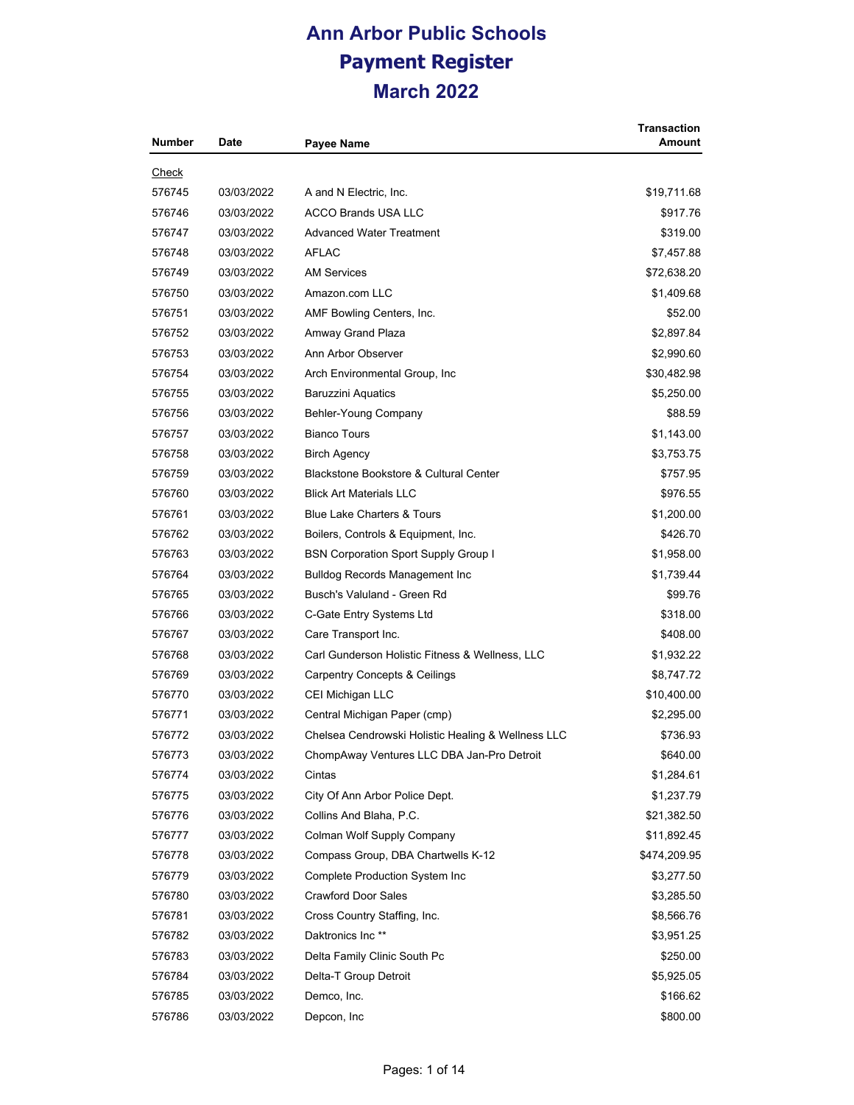| <b>Number</b> | Date       | <b>Payee Name</b>                                  | <b>Transaction</b><br><b>Amount</b> |
|---------------|------------|----------------------------------------------------|-------------------------------------|
| <u>Check</u>  |            |                                                    |                                     |
| 576745        | 03/03/2022 | A and N Electric, Inc.                             | \$19,711.68                         |
| 576746        | 03/03/2022 | <b>ACCO Brands USA LLC</b>                         | \$917.76                            |
| 576747        | 03/03/2022 | <b>Advanced Water Treatment</b>                    | \$319.00                            |
| 576748        | 03/03/2022 | <b>AFLAC</b>                                       | \$7,457.88                          |
| 576749        | 03/03/2022 | <b>AM Services</b>                                 | \$72,638.20                         |
| 576750        | 03/03/2022 | Amazon.com LLC                                     | \$1,409.68                          |
| 576751        | 03/03/2022 | AMF Bowling Centers, Inc.                          | \$52.00                             |
| 576752        | 03/03/2022 | Amway Grand Plaza                                  | \$2,897.84                          |
| 576753        | 03/03/2022 | Ann Arbor Observer                                 | \$2,990.60                          |
| 576754        | 03/03/2022 | Arch Environmental Group, Inc.                     | \$30,482.98                         |
| 576755        | 03/03/2022 | Baruzzini Aquatics                                 | \$5,250.00                          |
| 576756        | 03/03/2022 | Behler-Young Company                               | \$88.59                             |
| 576757        | 03/03/2022 | <b>Bianco Tours</b>                                | \$1,143.00                          |
| 576758        | 03/03/2022 | <b>Birch Agency</b>                                | \$3,753.75                          |
| 576759        | 03/03/2022 | <b>Blackstone Bookstore &amp; Cultural Center</b>  | \$757.95                            |
| 576760        | 03/03/2022 | <b>Blick Art Materials LLC</b>                     | \$976.55                            |
| 576761        | 03/03/2022 | <b>Blue Lake Charters &amp; Tours</b>              | \$1,200.00                          |
| 576762        | 03/03/2022 | Boilers, Controls & Equipment, Inc.                | \$426.70                            |
| 576763        | 03/03/2022 | <b>BSN Corporation Sport Supply Group I</b>        | \$1,958.00                          |
| 576764        | 03/03/2022 | <b>Bulldog Records Management Inc.</b>             | \$1,739.44                          |
| 576765        | 03/03/2022 | Busch's Valuland - Green Rd                        | \$99.76                             |
| 576766        | 03/03/2022 | C-Gate Entry Systems Ltd                           | \$318.00                            |
| 576767        | 03/03/2022 | Care Transport Inc.                                | \$408.00                            |
| 576768        | 03/03/2022 | Carl Gunderson Holistic Fitness & Wellness, LLC    | \$1,932.22                          |
| 576769        | 03/03/2022 | <b>Carpentry Concepts &amp; Ceilings</b>           | \$8,747.72                          |
| 576770        | 03/03/2022 | CEI Michigan LLC                                   | \$10,400.00                         |
| 576771        | 03/03/2022 | Central Michigan Paper (cmp)                       | \$2,295.00                          |
| 576772        | 03/03/2022 | Chelsea Cendrowski Holistic Healing & Wellness LLC | \$736.93                            |
| 576773        | 03/03/2022 | ChompAway Ventures LLC DBA Jan-Pro Detroit         | \$640.00                            |
| 576774        | 03/03/2022 | Cintas                                             | \$1,284.61                          |
| 576775        | 03/03/2022 | City Of Ann Arbor Police Dept.                     | \$1,237.79                          |
| 576776        | 03/03/2022 | Collins And Blaha, P.C.                            | \$21,382.50                         |
| 576777        | 03/03/2022 | Colman Wolf Supply Company                         | \$11,892.45                         |
| 576778        | 03/03/2022 | Compass Group, DBA Chartwells K-12                 | \$474,209.95                        |
| 576779        | 03/03/2022 | Complete Production System Inc                     | \$3,277.50                          |
| 576780        | 03/03/2022 | <b>Crawford Door Sales</b>                         | \$3,285.50                          |
| 576781        | 03/03/2022 | Cross Country Staffing, Inc.                       | \$8,566.76                          |
| 576782        | 03/03/2022 | Daktronics Inc <sup>**</sup>                       | \$3,951.25                          |
| 576783        | 03/03/2022 | Delta Family Clinic South Pc                       | \$250.00                            |
| 576784        | 03/03/2022 | Delta-T Group Detroit                              | \$5,925.05                          |
| 576785        | 03/03/2022 | Demco, Inc.                                        | \$166.62                            |
| 576786        | 03/03/2022 | Depcon, Inc                                        | \$800.00                            |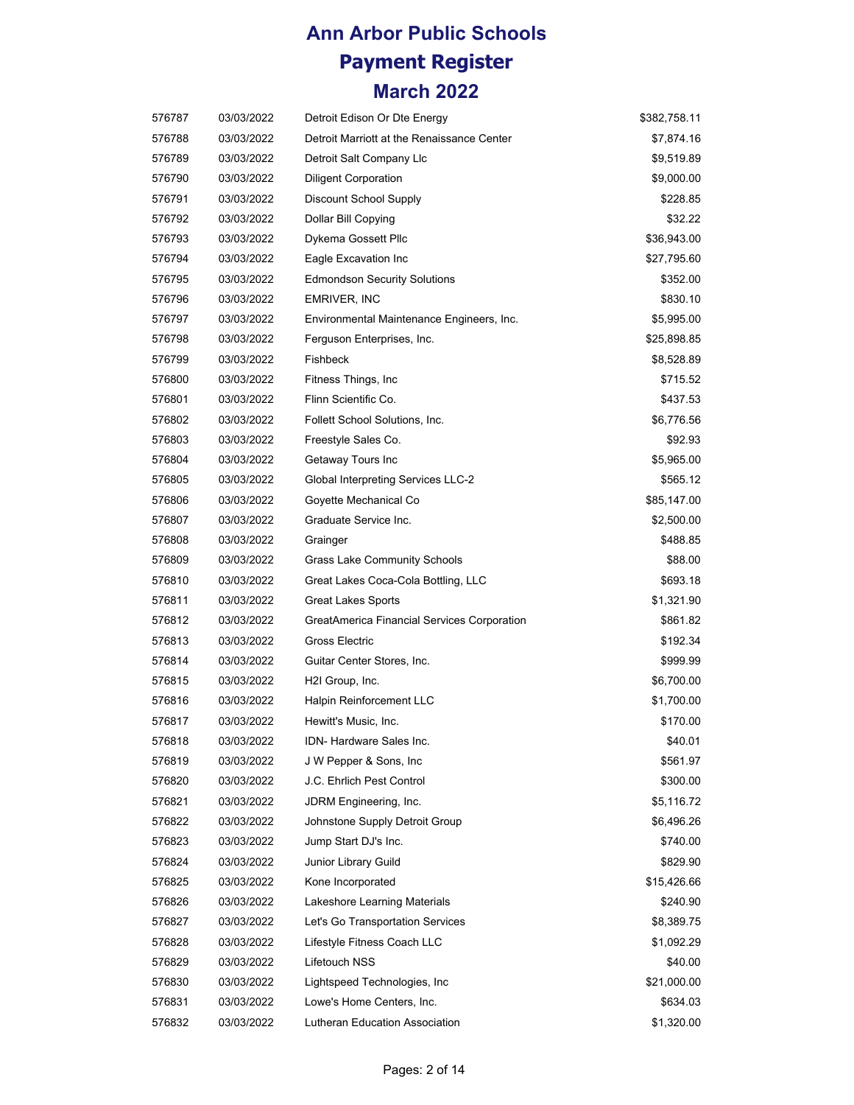| 576787 | 03/03/2022 | Detroit Edison Or Dte Energy                | \$382,758.11 |
|--------|------------|---------------------------------------------|--------------|
| 576788 | 03/03/2022 | Detroit Marriott at the Renaissance Center  | \$7,874.16   |
| 576789 | 03/03/2022 | Detroit Salt Company Llc                    | \$9,519.89   |
| 576790 | 03/03/2022 | <b>Diligent Corporation</b>                 | \$9,000.00   |
| 576791 | 03/03/2022 | <b>Discount School Supply</b>               | \$228.85     |
| 576792 | 03/03/2022 | Dollar Bill Copying                         | \$32.22      |
| 576793 | 03/03/2022 | Dykema Gossett Pllc                         | \$36,943.00  |
| 576794 | 03/03/2022 | Eagle Excavation Inc                        | \$27,795.60  |
| 576795 | 03/03/2022 | <b>Edmondson Security Solutions</b>         | \$352.00     |
| 576796 | 03/03/2022 | EMRIVER, INC                                | \$830.10     |
| 576797 | 03/03/2022 | Environmental Maintenance Engineers, Inc.   | \$5,995.00   |
| 576798 | 03/03/2022 | Ferguson Enterprises, Inc.                  | \$25,898.85  |
| 576799 | 03/03/2022 | Fishbeck                                    | \$8,528.89   |
| 576800 | 03/03/2022 | Fitness Things, Inc.                        | \$715.52     |
| 576801 | 03/03/2022 | Flinn Scientific Co.                        | \$437.53     |
| 576802 | 03/03/2022 | Follett School Solutions, Inc.              | \$6,776.56   |
| 576803 | 03/03/2022 | Freestyle Sales Co.                         | \$92.93      |
| 576804 | 03/03/2022 | Getaway Tours Inc                           | \$5,965.00   |
| 576805 | 03/03/2022 | Global Interpreting Services LLC-2          | \$565.12     |
| 576806 | 03/03/2022 | Goyette Mechanical Co                       | \$85,147.00  |
| 576807 | 03/03/2022 | Graduate Service Inc.                       | \$2,500.00   |
| 576808 | 03/03/2022 | Grainger                                    | \$488.85     |
| 576809 | 03/03/2022 | <b>Grass Lake Community Schools</b>         | \$88.00      |
| 576810 | 03/03/2022 | Great Lakes Coca-Cola Bottling, LLC         | \$693.18     |
| 576811 | 03/03/2022 | <b>Great Lakes Sports</b>                   | \$1,321.90   |
| 576812 | 03/03/2022 | GreatAmerica Financial Services Corporation | \$861.82     |
| 576813 | 03/03/2022 | Gross Electric                              | \$192.34     |
| 576814 | 03/03/2022 | Guitar Center Stores, Inc.                  | \$999.99     |
| 576815 | 03/03/2022 | H2I Group, Inc.                             | \$6,700.00   |
| 576816 | 03/03/2022 | Halpin Reinforcement LLC                    | \$1,700.00   |
| 576817 | 03/03/2022 | Hewitt's Music, Inc.                        | \$170.00     |
| 576818 | 03/03/2022 | IDN- Hardware Sales Inc.                    | \$40.01      |
| 576819 | 03/03/2022 | J W Pepper & Sons, Inc.                     | \$561.97     |
| 576820 | 03/03/2022 | J.C. Ehrlich Pest Control                   | \$300.00     |
| 576821 | 03/03/2022 | JDRM Engineering, Inc.                      | \$5,116.72   |
| 576822 | 03/03/2022 | Johnstone Supply Detroit Group              | \$6,496.26   |
| 576823 | 03/03/2022 | Jump Start DJ's Inc.                        | \$740.00     |
| 576824 | 03/03/2022 | Junior Library Guild                        | \$829.90     |
| 576825 | 03/03/2022 | Kone Incorporated                           | \$15,426.66  |
| 576826 | 03/03/2022 | Lakeshore Learning Materials                | \$240.90     |
| 576827 | 03/03/2022 | Let's Go Transportation Services            | \$8,389.75   |
| 576828 | 03/03/2022 | Lifestyle Fitness Coach LLC                 | \$1,092.29   |
| 576829 | 03/03/2022 | Lifetouch NSS                               | \$40.00      |
| 576830 | 03/03/2022 | Lightspeed Technologies, Inc.               | \$21,000.00  |
| 576831 | 03/03/2022 | Lowe's Home Centers, Inc.                   | \$634.03     |
| 576832 | 03/03/2022 | Lutheran Education Association              | \$1,320.00   |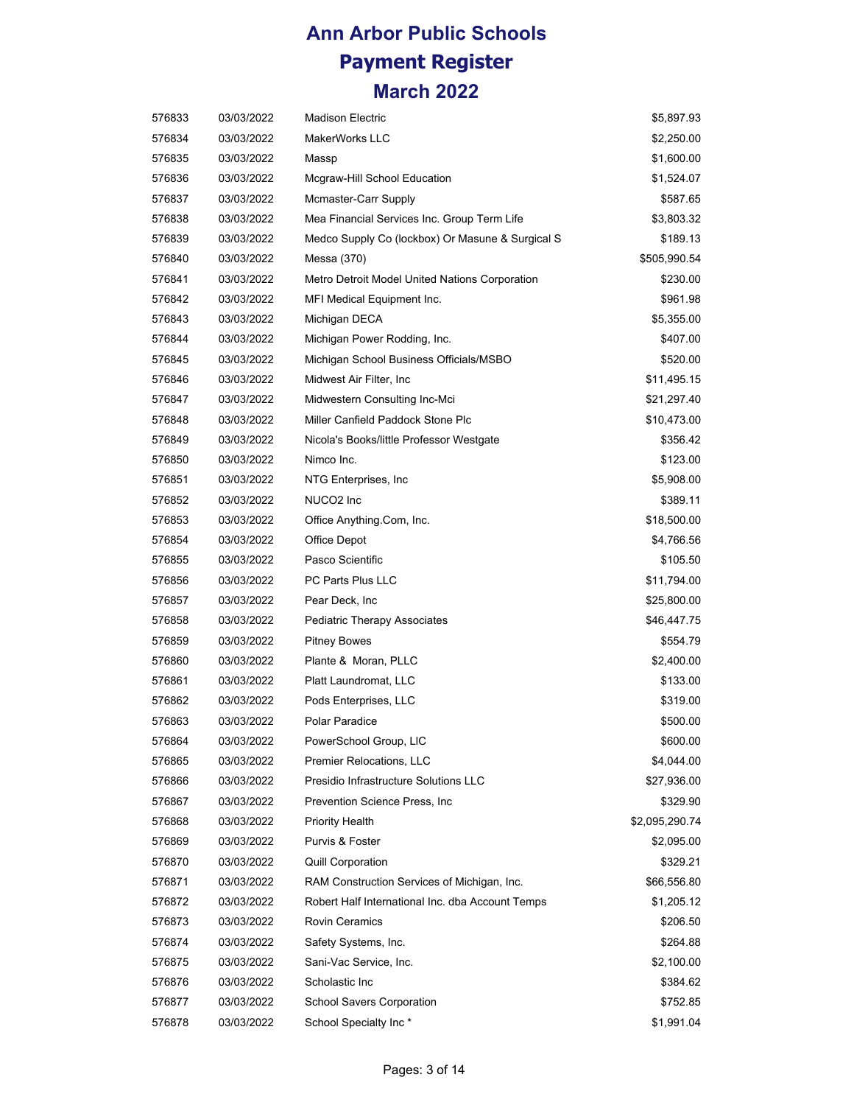| 576833 | 03/03/2022 | <b>Madison Electric</b>                          | \$5,897.93     |
|--------|------------|--------------------------------------------------|----------------|
| 576834 | 03/03/2022 | MakerWorks LLC                                   | \$2,250.00     |
| 576835 | 03/03/2022 | Massp                                            | \$1,600.00     |
| 576836 | 03/03/2022 | Mcgraw-Hill School Education                     | \$1,524.07     |
| 576837 | 03/03/2022 | Mcmaster-Carr Supply                             | \$587.65       |
| 576838 | 03/03/2022 | Mea Financial Services Inc. Group Term Life      | \$3,803.32     |
| 576839 | 03/03/2022 | Medco Supply Co (lockbox) Or Masune & Surgical S | \$189.13       |
| 576840 | 03/03/2022 | Messa (370)                                      | \$505,990.54   |
| 576841 | 03/03/2022 | Metro Detroit Model United Nations Corporation   | \$230.00       |
| 576842 | 03/03/2022 | MFI Medical Equipment Inc.                       | \$961.98       |
| 576843 | 03/03/2022 | Michigan DECA                                    | \$5,355.00     |
| 576844 | 03/03/2022 | Michigan Power Rodding, Inc.                     | \$407.00       |
| 576845 | 03/03/2022 | Michigan School Business Officials/MSBO          | \$520.00       |
| 576846 | 03/03/2022 | Midwest Air Filter, Inc                          | \$11,495.15    |
| 576847 | 03/03/2022 | Midwestern Consulting Inc-Mci                    | \$21,297.40    |
| 576848 | 03/03/2022 | Miller Canfield Paddock Stone Plc                | \$10,473.00    |
| 576849 | 03/03/2022 | Nicola's Books/little Professor Westgate         | \$356.42       |
| 576850 | 03/03/2022 | Nimco Inc.                                       | \$123.00       |
| 576851 | 03/03/2022 | NTG Enterprises, Inc.                            | \$5,908.00     |
| 576852 | 03/03/2022 | NUCO2 Inc                                        | \$389.11       |
| 576853 | 03/03/2022 | Office Anything.Com, Inc.                        | \$18,500.00    |
| 576854 | 03/03/2022 | Office Depot                                     | \$4,766.56     |
| 576855 | 03/03/2022 | Pasco Scientific                                 | \$105.50       |
| 576856 | 03/03/2022 | PC Parts Plus LLC                                | \$11,794.00    |
| 576857 | 03/03/2022 | Pear Deck, Inc                                   | \$25,800.00    |
| 576858 | 03/03/2022 | Pediatric Therapy Associates                     | \$46,447.75    |
| 576859 | 03/03/2022 | <b>Pitney Bowes</b>                              | \$554.79       |
| 576860 | 03/03/2022 | Plante & Moran, PLLC                             | \$2,400.00     |
| 576861 | 03/03/2022 | Platt Laundromat, LLC                            | \$133.00       |
| 576862 | 03/03/2022 | Pods Enterprises, LLC                            | \$319.00       |
| 576863 | 03/03/2022 | Polar Paradice                                   | \$500.00       |
| 576864 | 03/03/2022 | PowerSchool Group, LIC                           | \$600.00       |
| 576865 | 03/03/2022 | <b>Premier Relocations, LLC</b>                  | \$4,044.00     |
| 576866 | 03/03/2022 | Presidio Infrastructure Solutions LLC            | \$27,936.00    |
| 576867 | 03/03/2022 | Prevention Science Press, Inc.                   | \$329.90       |
| 576868 | 03/03/2022 | Priority Health                                  | \$2,095,290.74 |
| 576869 | 03/03/2022 | Purvis & Foster                                  | \$2,095.00     |
| 576870 | 03/03/2022 | <b>Quill Corporation</b>                         | \$329.21       |
| 576871 | 03/03/2022 | RAM Construction Services of Michigan, Inc.      | \$66,556.80    |
| 576872 | 03/03/2022 | Robert Half International Inc. dba Account Temps | \$1,205.12     |
| 576873 | 03/03/2022 | <b>Rovin Ceramics</b>                            | \$206.50       |
| 576874 | 03/03/2022 | Safety Systems, Inc.                             | \$264.88       |
| 576875 | 03/03/2022 | Sani-Vac Service, Inc.                           | \$2,100.00     |
| 576876 | 03/03/2022 | Scholastic Inc                                   | \$384.62       |
| 576877 | 03/03/2022 | School Savers Corporation                        | \$752.85       |
| 576878 | 03/03/2022 | School Specialty Inc*                            | \$1,991.04     |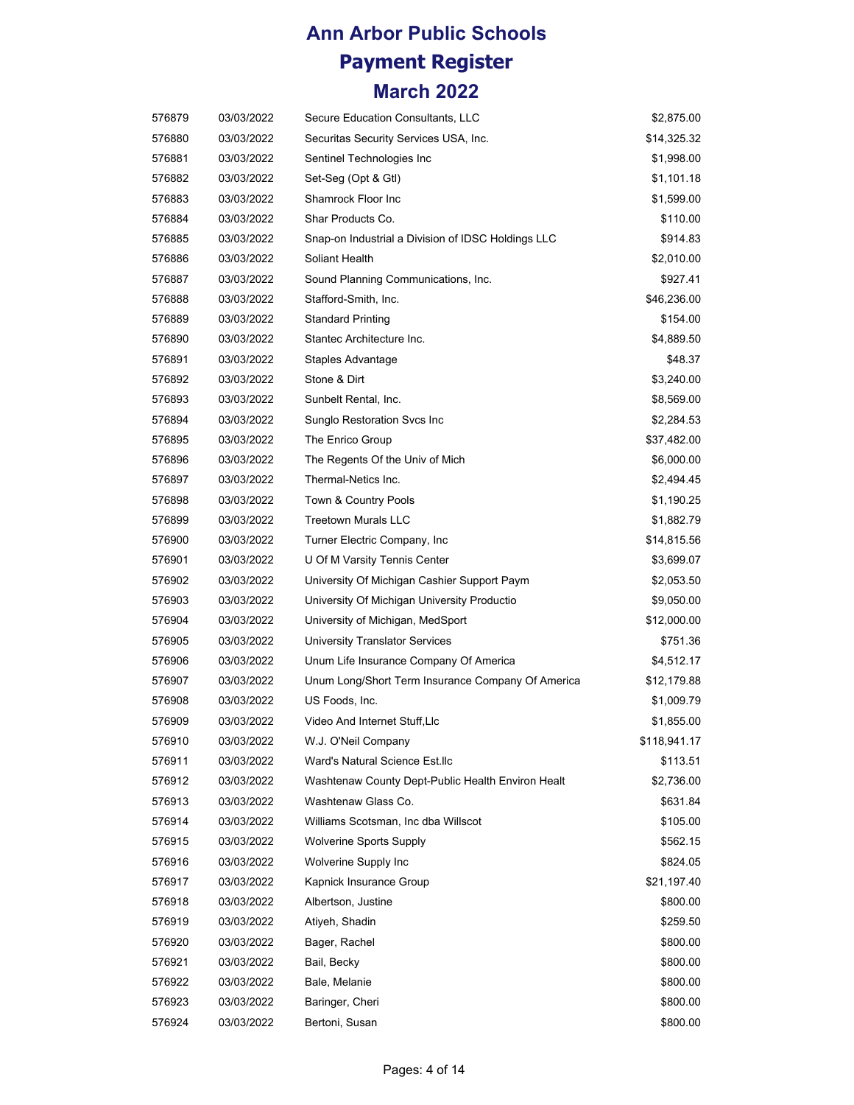| 576879 | 03/03/2022 | Secure Education Consultants, LLC                  | \$2,875.00   |
|--------|------------|----------------------------------------------------|--------------|
| 576880 | 03/03/2022 | Securitas Security Services USA, Inc.              | \$14,325.32  |
| 576881 | 03/03/2022 | Sentinel Technologies Inc                          | \$1,998.00   |
| 576882 | 03/03/2022 | Set-Seg (Opt & Gtl)                                | \$1,101.18   |
| 576883 | 03/03/2022 | <b>Shamrock Floor Inc</b>                          | \$1,599.00   |
| 576884 | 03/03/2022 | Shar Products Co.                                  | \$110.00     |
| 576885 | 03/03/2022 | Snap-on Industrial a Division of IDSC Holdings LLC | \$914.83     |
| 576886 | 03/03/2022 | Soliant Health                                     | \$2,010.00   |
| 576887 | 03/03/2022 | Sound Planning Communications, Inc.                | \$927.41     |
| 576888 | 03/03/2022 | Stafford-Smith, Inc.                               | \$46,236.00  |
| 576889 | 03/03/2022 | <b>Standard Printing</b>                           | \$154.00     |
| 576890 | 03/03/2022 | Stantec Architecture Inc.                          | \$4,889.50   |
| 576891 | 03/03/2022 | Staples Advantage                                  | \$48.37      |
| 576892 | 03/03/2022 | Stone & Dirt                                       | \$3,240.00   |
| 576893 | 03/03/2022 | Sunbelt Rental, Inc.                               | \$8,569.00   |
| 576894 | 03/03/2022 | Sunglo Restoration Svcs Inc                        | \$2,284.53   |
| 576895 | 03/03/2022 | The Enrico Group                                   | \$37,482.00  |
| 576896 | 03/03/2022 | The Regents Of the Univ of Mich                    | \$6,000.00   |
| 576897 | 03/03/2022 | Thermal-Netics Inc.                                | \$2,494.45   |
| 576898 | 03/03/2022 | Town & Country Pools                               | \$1,190.25   |
| 576899 | 03/03/2022 | <b>Treetown Murals LLC</b>                         | \$1,882.79   |
| 576900 | 03/03/2022 | Turner Electric Company, Inc.                      | \$14,815.56  |
| 576901 | 03/03/2022 | U Of M Varsity Tennis Center                       | \$3,699.07   |
| 576902 | 03/03/2022 | University Of Michigan Cashier Support Paym        | \$2,053.50   |
| 576903 | 03/03/2022 | University Of Michigan University Productio        | \$9,050.00   |
| 576904 | 03/03/2022 | University of Michigan, MedSport                   | \$12,000.00  |
| 576905 | 03/03/2022 | <b>University Translator Services</b>              | \$751.36     |
| 576906 | 03/03/2022 | Unum Life Insurance Company Of America             | \$4,512.17   |
| 576907 | 03/03/2022 | Unum Long/Short Term Insurance Company Of America  | \$12,179.88  |
| 576908 | 03/03/2022 | US Foods, Inc.                                     | \$1,009.79   |
| 576909 | 03/03/2022 | Video And Internet Stuff,Llc                       | \$1,855.00   |
| 576910 | 03/03/2022 | W.J. O'Neil Company                                | \$118,941.17 |
| 576911 | 03/03/2022 | Ward's Natural Science Est.llc                     | \$113.51     |
| 576912 | 03/03/2022 | Washtenaw County Dept-Public Health Environ Healt  | \$2,736.00   |
| 576913 | 03/03/2022 | Washtenaw Glass Co.                                | \$631.84     |
| 576914 | 03/03/2022 | Williams Scotsman, Inc dba Willscot                | \$105.00     |
| 576915 | 03/03/2022 | <b>Wolverine Sports Supply</b>                     | \$562.15     |
| 576916 | 03/03/2022 | Wolverine Supply Inc                               | \$824.05     |
| 576917 | 03/03/2022 | Kapnick Insurance Group                            | \$21,197.40  |
| 576918 | 03/03/2022 | Albertson, Justine                                 | \$800.00     |
| 576919 | 03/03/2022 | Atiyeh, Shadin                                     | \$259.50     |
| 576920 | 03/03/2022 | Bager, Rachel                                      | \$800.00     |
| 576921 | 03/03/2022 | Bail, Becky                                        | \$800.00     |
| 576922 | 03/03/2022 | Bale, Melanie                                      | \$800.00     |
| 576923 | 03/03/2022 | Baringer, Cheri                                    | \$800.00     |
| 576924 | 03/03/2022 | Bertoni, Susan                                     | \$800.00     |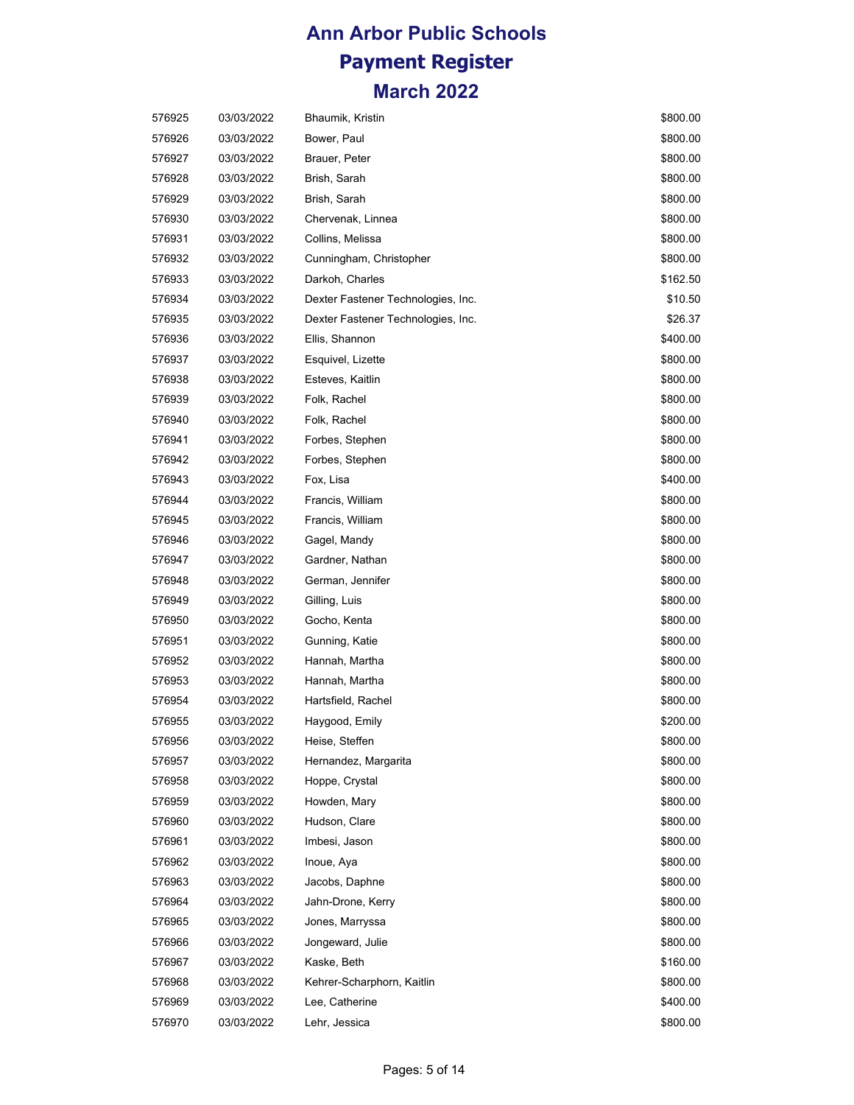| 576925 | 03/03/2022 | <b>Bhaumik, Kristin</b>            | \$800.00 |
|--------|------------|------------------------------------|----------|
| 576926 | 03/03/2022 | Bower, Paul                        | \$800.00 |
| 576927 | 03/03/2022 | Brauer, Peter                      | \$800.00 |
| 576928 | 03/03/2022 | Brish, Sarah                       | \$800.00 |
| 576929 | 03/03/2022 | Brish, Sarah                       | \$800.00 |
| 576930 | 03/03/2022 | Chervenak, Linnea                  | \$800.00 |
| 576931 | 03/03/2022 | Collins, Melissa                   | \$800.00 |
| 576932 | 03/03/2022 | Cunningham, Christopher            | \$800.00 |
| 576933 | 03/03/2022 | Darkoh, Charles                    | \$162.50 |
| 576934 | 03/03/2022 | Dexter Fastener Technologies, Inc. | \$10.50  |
| 576935 | 03/03/2022 | Dexter Fastener Technologies, Inc. | \$26.37  |
| 576936 | 03/03/2022 | Ellis, Shannon                     | \$400.00 |
| 576937 | 03/03/2022 | Esquivel, Lizette                  | \$800.00 |
| 576938 | 03/03/2022 | Esteves, Kaitlin                   | \$800.00 |
| 576939 | 03/03/2022 | Folk, Rachel                       | \$800.00 |
| 576940 | 03/03/2022 | Folk, Rachel                       | \$800.00 |
| 576941 | 03/03/2022 | Forbes, Stephen                    | \$800.00 |
| 576942 | 03/03/2022 | Forbes, Stephen                    | \$800.00 |
| 576943 | 03/03/2022 | Fox, Lisa                          | \$400.00 |
| 576944 | 03/03/2022 | Francis, William                   | \$800.00 |
| 576945 | 03/03/2022 | Francis, William                   | \$800.00 |
| 576946 | 03/03/2022 | Gagel, Mandy                       | \$800.00 |
| 576947 | 03/03/2022 | Gardner, Nathan                    | \$800.00 |
| 576948 | 03/03/2022 | German, Jennifer                   | \$800.00 |
| 576949 | 03/03/2022 | Gilling, Luis                      | \$800.00 |
| 576950 | 03/03/2022 | Gocho, Kenta                       | \$800.00 |
| 576951 | 03/03/2022 | Gunning, Katie                     | \$800.00 |
| 576952 | 03/03/2022 | Hannah, Martha                     | \$800.00 |
| 576953 | 03/03/2022 | Hannah, Martha                     | \$800.00 |
| 576954 | 03/03/2022 | Hartsfield, Rachel                 | \$800.00 |
| 576955 | 03/03/2022 | Haygood, Emily                     | \$200.00 |
| 576956 | 03/03/2022 | Heise, Steffen                     | \$800.00 |
| 576957 | 03/03/2022 | Hernandez, Margarita               | \$800.00 |
| 576958 | 03/03/2022 | Hoppe, Crystal                     | \$800.00 |
| 576959 | 03/03/2022 | Howden, Mary                       | \$800.00 |
| 576960 | 03/03/2022 | Hudson, Clare                      | \$800.00 |
| 576961 | 03/03/2022 | Imbesi, Jason                      | \$800.00 |
| 576962 | 03/03/2022 | Inoue, Aya                         | \$800.00 |
| 576963 | 03/03/2022 | Jacobs, Daphne                     | \$800.00 |
| 576964 | 03/03/2022 | Jahn-Drone, Kerry                  | \$800.00 |
| 576965 | 03/03/2022 | Jones, Marryssa                    | \$800.00 |
| 576966 | 03/03/2022 | Jongeward, Julie                   | \$800.00 |
| 576967 | 03/03/2022 | Kaske, Beth                        | \$160.00 |
| 576968 | 03/03/2022 | Kehrer-Scharphorn, Kaitlin         | \$800.00 |
| 576969 | 03/03/2022 | Lee, Catherine                     | \$400.00 |
| 576970 | 03/03/2022 | Lehr, Jessica                      | \$800.00 |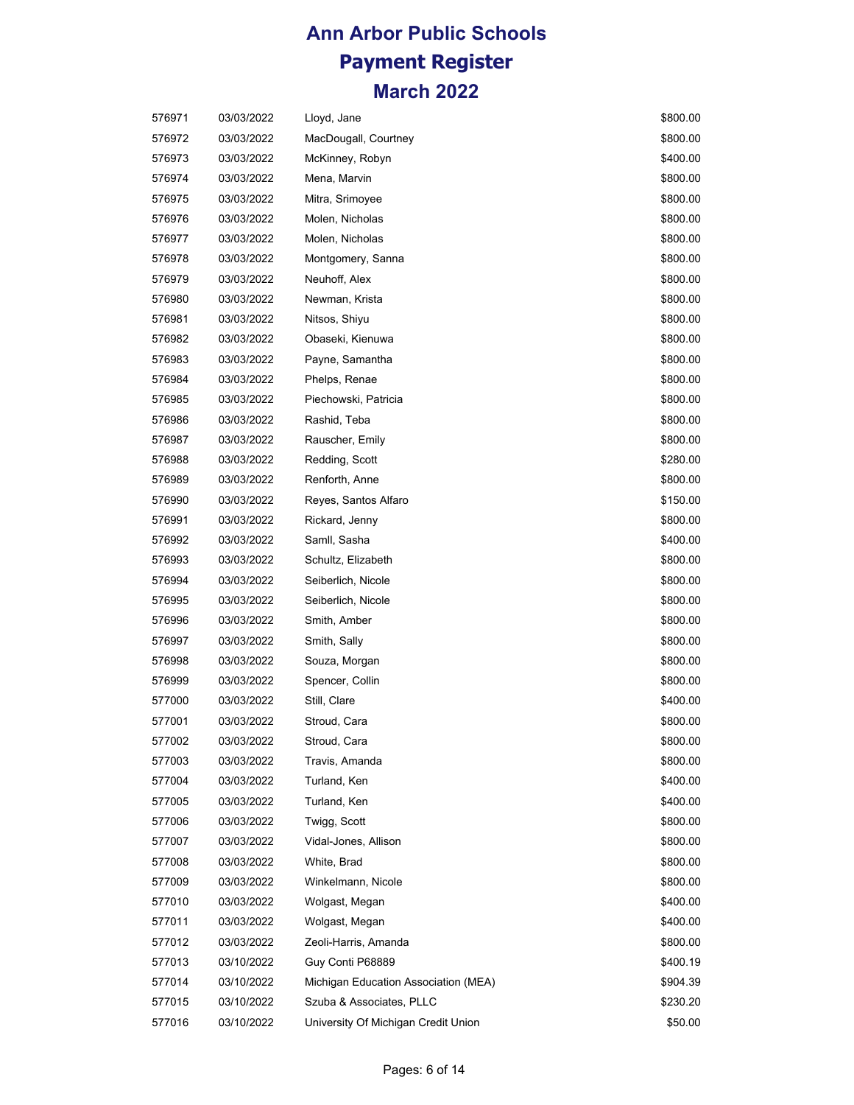| 576971 | 03/03/2022 | Lloyd, Jane                          | \$800.00 |
|--------|------------|--------------------------------------|----------|
| 576972 | 03/03/2022 | MacDougall, Courtney                 | \$800.00 |
| 576973 | 03/03/2022 | McKinney, Robyn                      | \$400.00 |
| 576974 | 03/03/2022 | Mena, Marvin                         | \$800.00 |
| 576975 | 03/03/2022 | Mitra, Srimoyee                      | \$800.00 |
| 576976 | 03/03/2022 | Molen, Nicholas                      | \$800.00 |
| 576977 | 03/03/2022 | Molen, Nicholas                      | \$800.00 |
| 576978 | 03/03/2022 | Montgomery, Sanna                    | \$800.00 |
| 576979 | 03/03/2022 | Neuhoff, Alex                        | \$800.00 |
| 576980 | 03/03/2022 | Newman, Krista                       | \$800.00 |
| 576981 | 03/03/2022 | Nitsos, Shiyu                        | \$800.00 |
| 576982 | 03/03/2022 | Obaseki, Kienuwa                     | \$800.00 |
| 576983 | 03/03/2022 | Payne, Samantha                      | \$800.00 |
| 576984 | 03/03/2022 | Phelps, Renae                        | \$800.00 |
| 576985 | 03/03/2022 | Piechowski, Patricia                 | \$800.00 |
| 576986 | 03/03/2022 | Rashid, Teba                         | \$800.00 |
| 576987 | 03/03/2022 | Rauscher, Emily                      | \$800.00 |
| 576988 | 03/03/2022 | Redding, Scott                       | \$280.00 |
| 576989 | 03/03/2022 | Renforth, Anne                       | \$800.00 |
| 576990 | 03/03/2022 | Reyes, Santos Alfaro                 | \$150.00 |
| 576991 | 03/03/2022 | Rickard, Jenny                       | \$800.00 |
| 576992 | 03/03/2022 | Samll, Sasha                         | \$400.00 |
| 576993 | 03/03/2022 | Schultz, Elizabeth                   | \$800.00 |
| 576994 | 03/03/2022 | Seiberlich, Nicole                   | \$800.00 |
| 576995 | 03/03/2022 | Seiberlich, Nicole                   | \$800.00 |
| 576996 | 03/03/2022 | Smith, Amber                         | \$800.00 |
| 576997 | 03/03/2022 | Smith, Sally                         | \$800.00 |
| 576998 | 03/03/2022 | Souza, Morgan                        | \$800.00 |
| 576999 | 03/03/2022 | Spencer, Collin                      | \$800.00 |
| 577000 | 03/03/2022 | Still, Clare                         | \$400.00 |
| 577001 | 03/03/2022 | Stroud, Cara                         | \$800.00 |
| 577002 | 03/03/2022 | Stroud, Cara                         | \$800.00 |
| 577003 | 03/03/2022 | Travis, Amanda                       | \$800.00 |
| 577004 | 03/03/2022 | Turland, Ken                         | \$400.00 |
| 577005 | 03/03/2022 | Turland, Ken                         | \$400.00 |
| 577006 | 03/03/2022 | Twigg, Scott                         | \$800.00 |
| 577007 | 03/03/2022 | Vidal-Jones, Allison                 | \$800.00 |
| 577008 | 03/03/2022 | White, Brad                          | \$800.00 |
| 577009 | 03/03/2022 | Winkelmann, Nicole                   | \$800.00 |
| 577010 | 03/03/2022 | Wolgast, Megan                       | \$400.00 |
| 577011 | 03/03/2022 | Wolgast, Megan                       | \$400.00 |
| 577012 | 03/03/2022 | Zeoli-Harris, Amanda                 | \$800.00 |
| 577013 | 03/10/2022 | Guy Conti P68889                     | \$400.19 |
| 577014 | 03/10/2022 | Michigan Education Association (MEA) | \$904.39 |
| 577015 | 03/10/2022 | Szuba & Associates, PLLC             | \$230.20 |
| 577016 | 03/10/2022 | University Of Michigan Credit Union  | \$50.00  |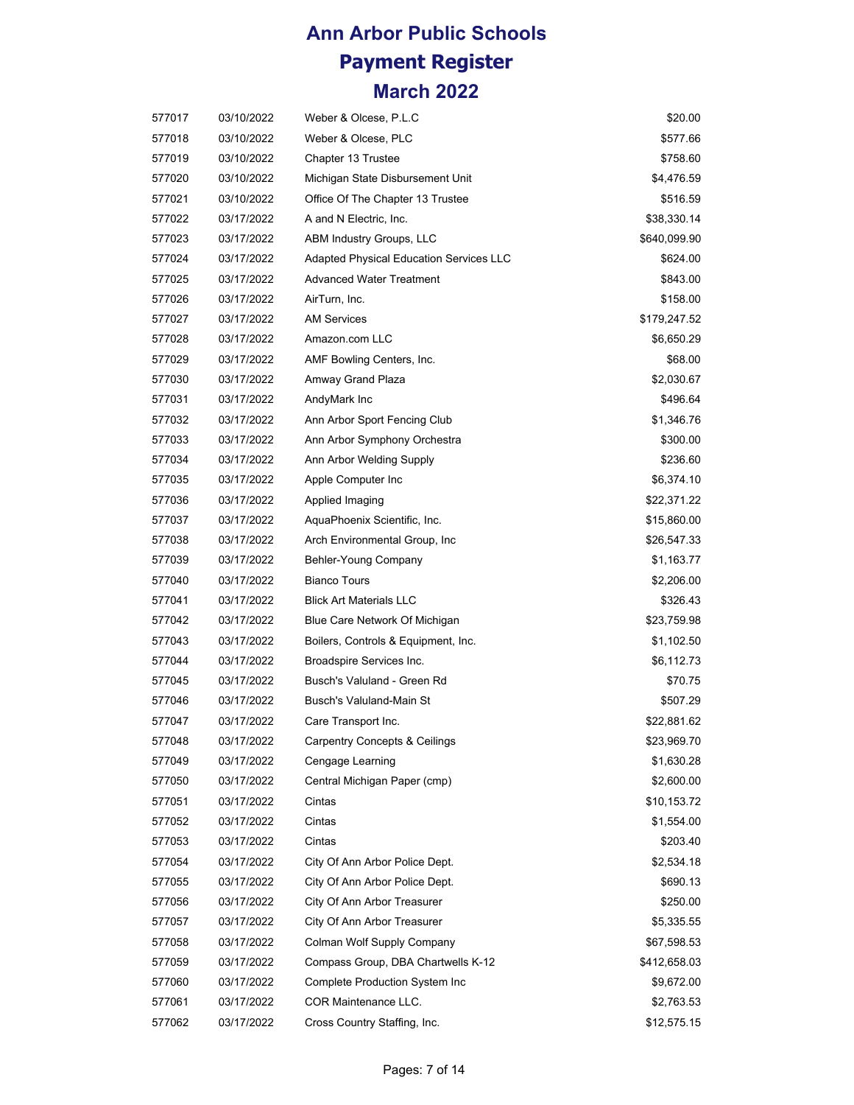| 577017 | 03/10/2022 | Weber & Olcese, P.L.C                          | \$20.00      |
|--------|------------|------------------------------------------------|--------------|
| 577018 | 03/10/2022 | Weber & Olcese, PLC                            | \$577.66     |
| 577019 | 03/10/2022 | Chapter 13 Trustee                             | \$758.60     |
| 577020 | 03/10/2022 | Michigan State Disbursement Unit               | \$4,476.59   |
| 577021 | 03/10/2022 | Office Of The Chapter 13 Trustee               | \$516.59     |
| 577022 | 03/17/2022 | A and N Electric, Inc.                         | \$38,330.14  |
| 577023 | 03/17/2022 | ABM Industry Groups, LLC                       | \$640,099.90 |
| 577024 | 03/17/2022 | <b>Adapted Physical Education Services LLC</b> | \$624.00     |
| 577025 | 03/17/2022 | <b>Advanced Water Treatment</b>                | \$843.00     |
| 577026 | 03/17/2022 | AirTurn, Inc.                                  | \$158.00     |
| 577027 | 03/17/2022 | <b>AM Services</b>                             | \$179,247.52 |
| 577028 | 03/17/2022 | Amazon.com LLC                                 | \$6,650.29   |
| 577029 | 03/17/2022 | AMF Bowling Centers, Inc.                      | \$68.00      |
| 577030 | 03/17/2022 | Amway Grand Plaza                              | \$2,030.67   |
| 577031 | 03/17/2022 | AndyMark Inc                                   | \$496.64     |
| 577032 | 03/17/2022 | Ann Arbor Sport Fencing Club                   | \$1,346.76   |
| 577033 | 03/17/2022 | Ann Arbor Symphony Orchestra                   | \$300.00     |
| 577034 | 03/17/2022 | Ann Arbor Welding Supply                       | \$236.60     |
| 577035 | 03/17/2022 | Apple Computer Inc                             | \$6,374.10   |
| 577036 | 03/17/2022 | Applied Imaging                                | \$22,371.22  |
| 577037 | 03/17/2022 | AquaPhoenix Scientific, Inc.                   | \$15,860.00  |
| 577038 | 03/17/2022 | Arch Environmental Group, Inc.                 | \$26,547.33  |
| 577039 | 03/17/2022 | Behler-Young Company                           | \$1,163.77   |
| 577040 | 03/17/2022 | <b>Bianco Tours</b>                            | \$2,206.00   |
| 577041 | 03/17/2022 | <b>Blick Art Materials LLC</b>                 | \$326.43     |
| 577042 | 03/17/2022 | Blue Care Network Of Michigan                  | \$23,759.98  |
| 577043 | 03/17/2022 | Boilers, Controls & Equipment, Inc.            | \$1,102.50   |
| 577044 | 03/17/2022 | Broadspire Services Inc.                       | \$6,112.73   |
| 577045 | 03/17/2022 | Busch's Valuland - Green Rd                    | \$70.75      |
| 577046 | 03/17/2022 | <b>Busch's Valuland-Main St</b>                | \$507.29     |
| 577047 | 03/17/2022 | Care Transport Inc.                            | \$22,881.62  |
| 577048 | 03/17/2022 | <b>Carpentry Concepts &amp; Ceilings</b>       | \$23,969.70  |
| 577049 | 03/17/2022 | Cengage Learning                               | \$1,630.28   |
| 577050 | 03/17/2022 | Central Michigan Paper (cmp)                   | \$2,600.00   |
| 577051 | 03/17/2022 | Cintas                                         | \$10,153.72  |
| 577052 | 03/17/2022 | Cintas                                         | \$1,554.00   |
| 577053 | 03/17/2022 | Cintas                                         | \$203.40     |
| 577054 | 03/17/2022 | City Of Ann Arbor Police Dept.                 | \$2,534.18   |
| 577055 | 03/17/2022 | City Of Ann Arbor Police Dept.                 | \$690.13     |
| 577056 | 03/17/2022 | City Of Ann Arbor Treasurer                    | \$250.00     |
| 577057 | 03/17/2022 | City Of Ann Arbor Treasurer                    | \$5,335.55   |
| 577058 | 03/17/2022 | Colman Wolf Supply Company                     | \$67,598.53  |
| 577059 | 03/17/2022 | Compass Group, DBA Chartwells K-12             | \$412,658.03 |
| 577060 | 03/17/2022 | Complete Production System Inc                 | \$9,672.00   |
| 577061 | 03/17/2022 | COR Maintenance LLC.                           | \$2,763.53   |
| 577062 | 03/17/2022 | Cross Country Staffing, Inc.                   | \$12,575.15  |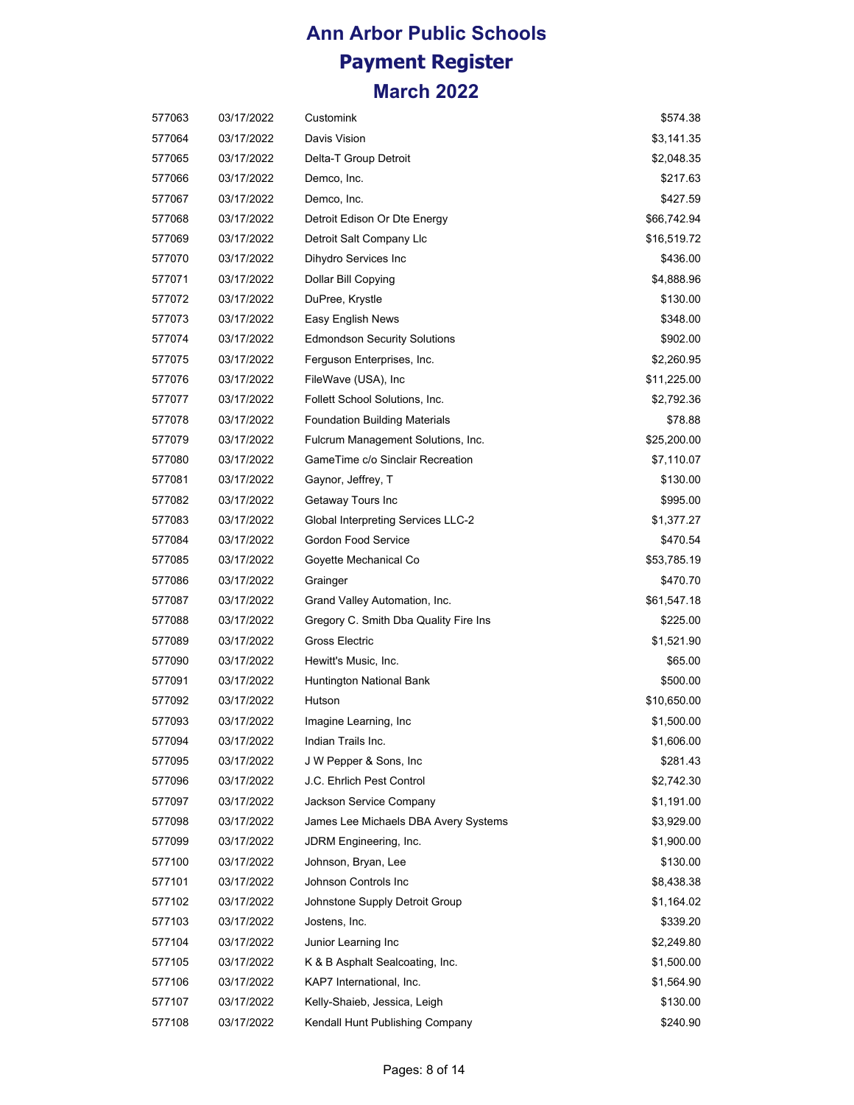| 577063 | 03/17/2022 | Customink                             | \$574.38    |
|--------|------------|---------------------------------------|-------------|
| 577064 | 03/17/2022 | Davis Vision                          | \$3,141.35  |
| 577065 | 03/17/2022 | Delta-T Group Detroit                 | \$2,048.35  |
| 577066 | 03/17/2022 | Demco, Inc.                           | \$217.63    |
| 577067 | 03/17/2022 | Demco, Inc.                           | \$427.59    |
| 577068 | 03/17/2022 | Detroit Edison Or Dte Energy          | \$66,742.94 |
| 577069 | 03/17/2022 | Detroit Salt Company Llc              | \$16,519.72 |
| 577070 | 03/17/2022 | Dihydro Services Inc                  | \$436.00    |
| 577071 | 03/17/2022 | Dollar Bill Copying                   | \$4,888.96  |
| 577072 | 03/17/2022 | DuPree, Krystle                       | \$130.00    |
| 577073 | 03/17/2022 | Easy English News                     | \$348.00    |
| 577074 | 03/17/2022 | <b>Edmondson Security Solutions</b>   | \$902.00    |
| 577075 | 03/17/2022 | Ferguson Enterprises, Inc.            | \$2,260.95  |
| 577076 | 03/17/2022 | FileWave (USA), Inc.                  | \$11,225.00 |
| 577077 | 03/17/2022 | Follett School Solutions, Inc.        | \$2,792.36  |
| 577078 | 03/17/2022 | <b>Foundation Building Materials</b>  | \$78.88     |
| 577079 | 03/17/2022 | Fulcrum Management Solutions, Inc.    | \$25,200.00 |
| 577080 | 03/17/2022 | GameTime c/o Sinclair Recreation      | \$7,110.07  |
| 577081 | 03/17/2022 | Gaynor, Jeffrey, T                    | \$130.00    |
| 577082 | 03/17/2022 | Getaway Tours Inc                     | \$995.00    |
| 577083 | 03/17/2022 | Global Interpreting Services LLC-2    | \$1,377.27  |
| 577084 | 03/17/2022 | Gordon Food Service                   | \$470.54    |
| 577085 | 03/17/2022 | Goyette Mechanical Co                 | \$53,785.19 |
| 577086 | 03/17/2022 | Grainger                              | \$470.70    |
| 577087 | 03/17/2022 | Grand Valley Automation, Inc.         | \$61,547.18 |
| 577088 | 03/17/2022 | Gregory C. Smith Dba Quality Fire Ins | \$225.00    |
| 577089 | 03/17/2022 | Gross Electric                        | \$1,521.90  |
| 577090 | 03/17/2022 | Hewitt's Music, Inc.                  | \$65.00     |
| 577091 | 03/17/2022 | Huntington National Bank              | \$500.00    |
| 577092 | 03/17/2022 | Hutson                                | \$10,650.00 |
| 577093 | 03/17/2022 | Imagine Learning, Inc.                | \$1,500.00  |
| 577094 | 03/17/2022 | Indian Trails Inc.                    | \$1,606.00  |
| 577095 | 03/17/2022 | J W Pepper & Sons, Inc.               | \$281.43    |
| 577096 | 03/17/2022 | J.C. Ehrlich Pest Control             | \$2,742.30  |
| 577097 | 03/17/2022 | Jackson Service Company               | \$1,191.00  |
| 577098 | 03/17/2022 | James Lee Michaels DBA Avery Systems  | \$3,929.00  |
| 577099 | 03/17/2022 | JDRM Engineering, Inc.                | \$1,900.00  |
| 577100 | 03/17/2022 | Johnson, Bryan, Lee                   | \$130.00    |
| 577101 | 03/17/2022 | Johnson Controls Inc                  | \$8,438.38  |
| 577102 | 03/17/2022 | Johnstone Supply Detroit Group        | \$1,164.02  |
| 577103 | 03/17/2022 | Jostens, Inc.                         | \$339.20    |
| 577104 | 03/17/2022 | Junior Learning Inc                   | \$2,249.80  |
| 577105 | 03/17/2022 | K & B Asphalt Sealcoating, Inc.       | \$1,500.00  |
| 577106 | 03/17/2022 | KAP7 International, Inc.              | \$1,564.90  |
| 577107 | 03/17/2022 | Kelly-Shaieb, Jessica, Leigh          | \$130.00    |
| 577108 | 03/17/2022 | Kendall Hunt Publishing Company       | \$240.90    |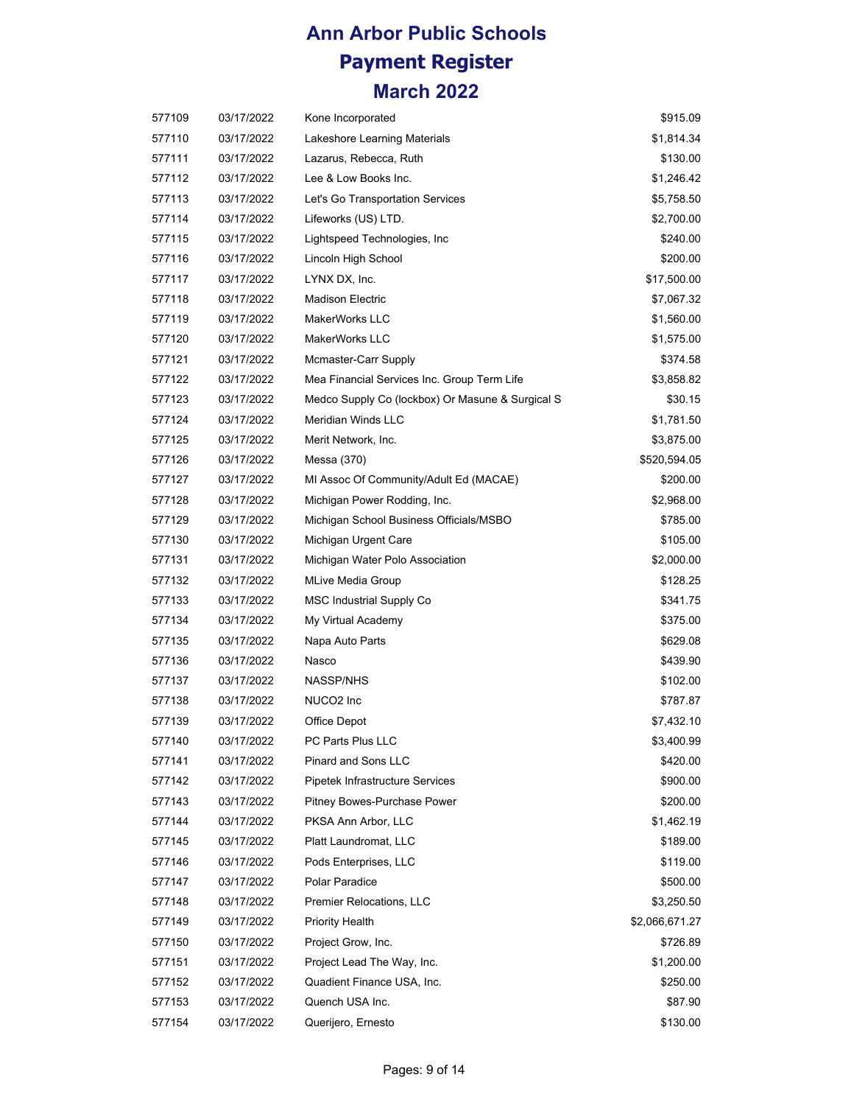| 577109 | 03/17/2022 | Kone Incorporated                                | \$915.09       |
|--------|------------|--------------------------------------------------|----------------|
| 577110 | 03/17/2022 | Lakeshore Learning Materials                     | \$1,814.34     |
| 577111 | 03/17/2022 | Lazarus, Rebecca, Ruth                           | \$130.00       |
| 577112 | 03/17/2022 | Lee & Low Books Inc.                             | \$1,246.42     |
| 577113 | 03/17/2022 | Let's Go Transportation Services                 | \$5,758.50     |
| 577114 | 03/17/2022 | Lifeworks (US) LTD.                              | \$2,700.00     |
| 577115 | 03/17/2022 | Lightspeed Technologies, Inc                     | \$240.00       |
| 577116 | 03/17/2022 | Lincoln High School                              | \$200.00       |
| 577117 | 03/17/2022 | LYNX DX, Inc.                                    | \$17,500.00    |
| 577118 | 03/17/2022 | <b>Madison Electric</b>                          | \$7,067.32     |
| 577119 | 03/17/2022 | MakerWorks LLC                                   | \$1,560.00     |
| 577120 | 03/17/2022 | MakerWorks LLC                                   | \$1,575.00     |
| 577121 | 03/17/2022 | Mcmaster-Carr Supply                             | \$374.58       |
| 577122 | 03/17/2022 | Mea Financial Services Inc. Group Term Life      | \$3,858.82     |
| 577123 | 03/17/2022 | Medco Supply Co (lockbox) Or Masune & Surgical S | \$30.15        |
| 577124 | 03/17/2022 | Meridian Winds LLC                               | \$1,781.50     |
| 577125 | 03/17/2022 | Merit Network, Inc.                              | \$3,875.00     |
| 577126 | 03/17/2022 | Messa (370)                                      | \$520,594.05   |
| 577127 | 03/17/2022 | MI Assoc Of Community/Adult Ed (MACAE)           | \$200.00       |
| 577128 | 03/17/2022 | Michigan Power Rodding, Inc.                     | \$2,968.00     |
| 577129 | 03/17/2022 | Michigan School Business Officials/MSBO          | \$785.00       |
| 577130 | 03/17/2022 | Michigan Urgent Care                             | \$105.00       |
| 577131 | 03/17/2022 | Michigan Water Polo Association                  | \$2,000.00     |
| 577132 | 03/17/2022 | <b>MLive Media Group</b>                         | \$128.25       |
| 577133 | 03/17/2022 | <b>MSC Industrial Supply Co</b>                  | \$341.75       |
| 577134 | 03/17/2022 | My Virtual Academy                               | \$375.00       |
| 577135 | 03/17/2022 | Napa Auto Parts                                  | \$629.08       |
| 577136 | 03/17/2022 | Nasco                                            | \$439.90       |
| 577137 | 03/17/2022 | NASSP/NHS                                        | \$102.00       |
| 577138 | 03/17/2022 | NUCO <sub>2</sub> Inc                            | \$787.87       |
| 577139 | 03/17/2022 | Office Depot                                     | \$7,432.10     |
| 577140 | 03/17/2022 | PC Parts Plus LLC                                | \$3,400.99     |
| 577141 | 03/17/2022 | Pinard and Sons LLC                              | \$420.00       |
| 577142 | 03/17/2022 | Pipetek Infrastructure Services                  | \$900.00       |
| 577143 | 03/17/2022 | Pitney Bowes-Purchase Power                      | \$200.00       |
| 577144 | 03/17/2022 | PKSA Ann Arbor, LLC                              | \$1,462.19     |
| 577145 | 03/17/2022 | Platt Laundromat, LLC                            | \$189.00       |
| 577146 | 03/17/2022 | Pods Enterprises, LLC                            | \$119.00       |
| 577147 | 03/17/2022 | Polar Paradice                                   | \$500.00       |
| 577148 | 03/17/2022 | Premier Relocations, LLC                         | \$3,250.50     |
| 577149 | 03/17/2022 | Priority Health                                  | \$2,066,671.27 |
| 577150 | 03/17/2022 | Project Grow, Inc.                               | \$726.89       |
| 577151 | 03/17/2022 | Project Lead The Way, Inc.                       | \$1,200.00     |
| 577152 | 03/17/2022 | Quadient Finance USA, Inc.                       | \$250.00       |
| 577153 | 03/17/2022 | Quench USA Inc.                                  | \$87.90        |
| 577154 | 03/17/2022 | Querijero, Ernesto                               | \$130.00       |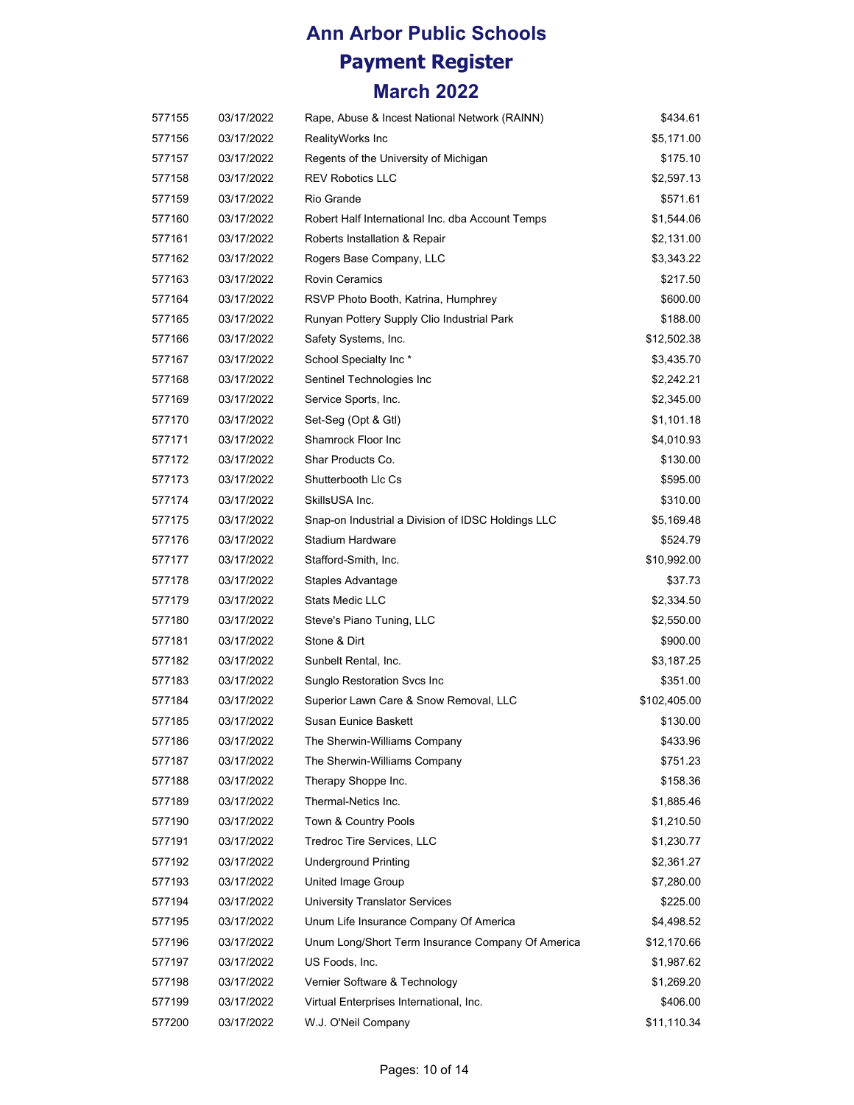| 577155 | 03/17/2022 | Rape, Abuse & Incest National Network (RAINN)      | \$434.61     |
|--------|------------|----------------------------------------------------|--------------|
| 577156 | 03/17/2022 | RealityWorks Inc                                   | \$5,171.00   |
| 577157 | 03/17/2022 | Regents of the University of Michigan              | \$175.10     |
| 577158 | 03/17/2022 | <b>REV Robotics LLC</b>                            | \$2,597.13   |
| 577159 | 03/17/2022 | Rio Grande                                         | \$571.61     |
| 577160 | 03/17/2022 | Robert Half International Inc. dba Account Temps   | \$1,544.06   |
| 577161 | 03/17/2022 | Roberts Installation & Repair                      | \$2,131.00   |
| 577162 | 03/17/2022 | Rogers Base Company, LLC                           | \$3,343.22   |
| 577163 | 03/17/2022 | <b>Rovin Ceramics</b>                              | \$217.50     |
| 577164 | 03/17/2022 | RSVP Photo Booth, Katrina, Humphrey                | \$600.00     |
| 577165 | 03/17/2022 | Runyan Pottery Supply Clio Industrial Park         | \$188.00     |
| 577166 | 03/17/2022 | Safety Systems, Inc.                               | \$12,502.38  |
| 577167 | 03/17/2022 | School Specialty Inc*                              | \$3,435.70   |
| 577168 | 03/17/2022 | Sentinel Technologies Inc                          | \$2,242.21   |
| 577169 | 03/17/2022 | Service Sports, Inc.                               | \$2,345.00   |
| 577170 | 03/17/2022 | Set-Seg (Opt & Gtl)                                | \$1,101.18   |
| 577171 | 03/17/2022 | Shamrock Floor Inc                                 | \$4,010.93   |
| 577172 | 03/17/2022 | Shar Products Co.                                  | \$130.00     |
| 577173 | 03/17/2022 | Shutterbooth Llc Cs                                | \$595.00     |
| 577174 | 03/17/2022 | SkillsUSA Inc.                                     | \$310.00     |
| 577175 | 03/17/2022 | Snap-on Industrial a Division of IDSC Holdings LLC | \$5,169.48   |
| 577176 | 03/17/2022 | <b>Stadium Hardware</b>                            | \$524.79     |
| 577177 | 03/17/2022 | Stafford-Smith, Inc.                               | \$10,992.00  |
| 577178 | 03/17/2022 | Staples Advantage                                  | \$37.73      |
| 577179 | 03/17/2022 | Stats Medic LLC                                    | \$2,334.50   |
| 577180 | 03/17/2022 | Steve's Piano Tuning, LLC                          | \$2,550.00   |
| 577181 | 03/17/2022 | Stone & Dirt                                       | \$900.00     |
| 577182 | 03/17/2022 | Sunbelt Rental, Inc.                               | \$3,187.25   |
| 577183 | 03/17/2022 | Sunglo Restoration Svcs Inc                        | \$351.00     |
| 577184 | 03/17/2022 | Superior Lawn Care & Snow Removal, LLC             | \$102,405.00 |
| 577185 | 03/17/2022 | Susan Eunice Baskett                               | \$130.00     |
| 577186 | 03/17/2022 | The Sherwin-Williams Company                       | \$433.96     |
| 577187 | 03/17/2022 | The Sherwin-Williams Company                       | \$751.23     |
| 577188 | 03/17/2022 | Therapy Shoppe Inc.                                | \$158.36     |
| 577189 | 03/17/2022 | Thermal-Netics Inc.                                | \$1,885.46   |
| 577190 | 03/17/2022 | Town & Country Pools                               | \$1,210.50   |
| 577191 | 03/17/2022 | Tredroc Tire Services, LLC                         | \$1,230.77   |
| 577192 | 03/17/2022 | <b>Underground Printing</b>                        | \$2,361.27   |
| 577193 | 03/17/2022 | United Image Group                                 | \$7,280.00   |
| 577194 | 03/17/2022 | University Translator Services                     | \$225.00     |
| 577195 | 03/17/2022 | Unum Life Insurance Company Of America             | \$4,498.52   |
| 577196 | 03/17/2022 | Unum Long/Short Term Insurance Company Of America  | \$12,170.66  |
| 577197 | 03/17/2022 | US Foods, Inc.                                     | \$1,987.62   |
| 577198 | 03/17/2022 | Vernier Software & Technology                      | \$1,269.20   |
| 577199 | 03/17/2022 | Virtual Enterprises International, Inc.            | \$406.00     |
| 577200 | 03/17/2022 | W.J. O'Neil Company                                | \$11,110.34  |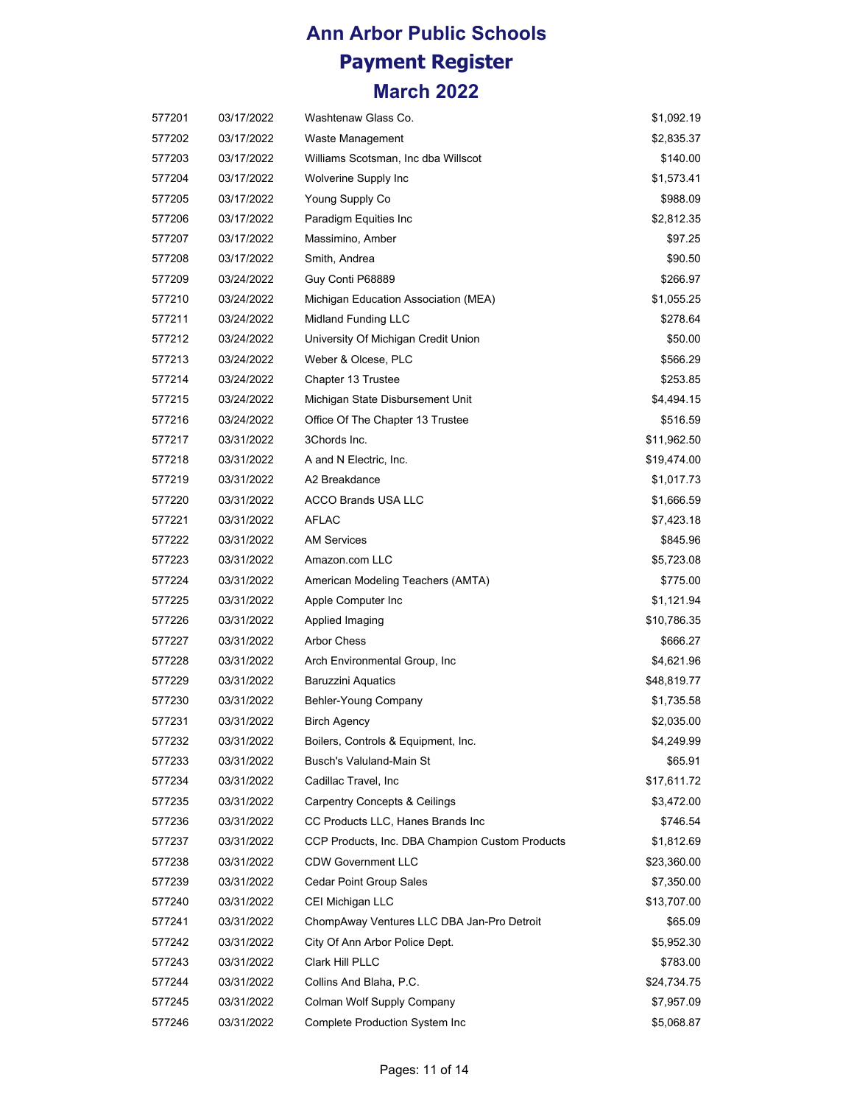| 577201 | 03/17/2022 | Washtenaw Glass Co.                             | \$1,092.19  |
|--------|------------|-------------------------------------------------|-------------|
| 577202 | 03/17/2022 | Waste Management                                | \$2,835.37  |
| 577203 | 03/17/2022 | Williams Scotsman, Inc dba Willscot             | \$140.00    |
| 577204 | 03/17/2022 | Wolverine Supply Inc                            | \$1,573.41  |
| 577205 | 03/17/2022 | Young Supply Co                                 | \$988.09    |
| 577206 | 03/17/2022 | Paradigm Equities Inc                           | \$2,812.35  |
| 577207 | 03/17/2022 | Massimino, Amber                                | \$97.25     |
| 577208 | 03/17/2022 | Smith, Andrea                                   | \$90.50     |
| 577209 | 03/24/2022 | Guy Conti P68889                                | \$266.97    |
| 577210 | 03/24/2022 | Michigan Education Association (MEA)            | \$1,055.25  |
| 577211 | 03/24/2022 | Midland Funding LLC                             | \$278.64    |
| 577212 | 03/24/2022 | University Of Michigan Credit Union             | \$50.00     |
| 577213 | 03/24/2022 | Weber & Olcese, PLC                             | \$566.29    |
| 577214 | 03/24/2022 | Chapter 13 Trustee                              | \$253.85    |
| 577215 | 03/24/2022 | Michigan State Disbursement Unit                | \$4,494.15  |
| 577216 | 03/24/2022 | Office Of The Chapter 13 Trustee                | \$516.59    |
| 577217 | 03/31/2022 | 3Chords Inc.                                    | \$11,962.50 |
| 577218 | 03/31/2022 | A and N Electric, Inc.                          | \$19,474.00 |
| 577219 | 03/31/2022 | A2 Breakdance                                   | \$1,017.73  |
| 577220 | 03/31/2022 | <b>ACCO Brands USA LLC</b>                      | \$1,666.59  |
| 577221 | 03/31/2022 | AFLAC                                           | \$7,423.18  |
| 577222 | 03/31/2022 | <b>AM Services</b>                              | \$845.96    |
| 577223 | 03/31/2022 | Amazon.com LLC                                  | \$5,723.08  |
| 577224 | 03/31/2022 | American Modeling Teachers (AMTA)               | \$775.00    |
| 577225 | 03/31/2022 | Apple Computer Inc                              | \$1,121.94  |
| 577226 | 03/31/2022 | Applied Imaging                                 | \$10,786.35 |
| 577227 | 03/31/2022 | <b>Arbor Chess</b>                              | \$666.27    |
| 577228 | 03/31/2022 | Arch Environmental Group, Inc.                  | \$4,621.96  |
| 577229 | 03/31/2022 | <b>Baruzzini Aquatics</b>                       | \$48,819.77 |
| 577230 | 03/31/2022 | Behler-Young Company                            | \$1,735.58  |
| 577231 | 03/31/2022 | <b>Birch Agency</b>                             | \$2,035.00  |
| 577232 | 03/31/2022 | Boilers, Controls & Equipment, Inc.             | \$4,249.99  |
| 577233 | 03/31/2022 | Busch's Valuland-Main St                        | \$65.91     |
| 577234 | 03/31/2022 | Cadillac Travel, Inc                            | \$17,611.72 |
| 577235 | 03/31/2022 | <b>Carpentry Concepts &amp; Ceilings</b>        | \$3,472.00  |
| 577236 | 03/31/2022 | CC Products LLC, Hanes Brands Inc               | \$746.54    |
| 577237 | 03/31/2022 | CCP Products, Inc. DBA Champion Custom Products | \$1,812.69  |
| 577238 | 03/31/2022 | <b>CDW Government LLC</b>                       | \$23,360.00 |
| 577239 | 03/31/2022 | <b>Cedar Point Group Sales</b>                  | \$7,350.00  |
| 577240 | 03/31/2022 | CEI Michigan LLC                                | \$13,707.00 |
| 577241 | 03/31/2022 | ChompAway Ventures LLC DBA Jan-Pro Detroit      | \$65.09     |
| 577242 | 03/31/2022 | City Of Ann Arbor Police Dept.                  | \$5,952.30  |
| 577243 | 03/31/2022 | Clark Hill PLLC                                 | \$783.00    |
| 577244 | 03/31/2022 | Collins And Blaha, P.C.                         | \$24,734.75 |
| 577245 | 03/31/2022 | Colman Wolf Supply Company                      | \$7,957.09  |
| 577246 | 03/31/2022 | Complete Production System Inc                  | \$5,068.87  |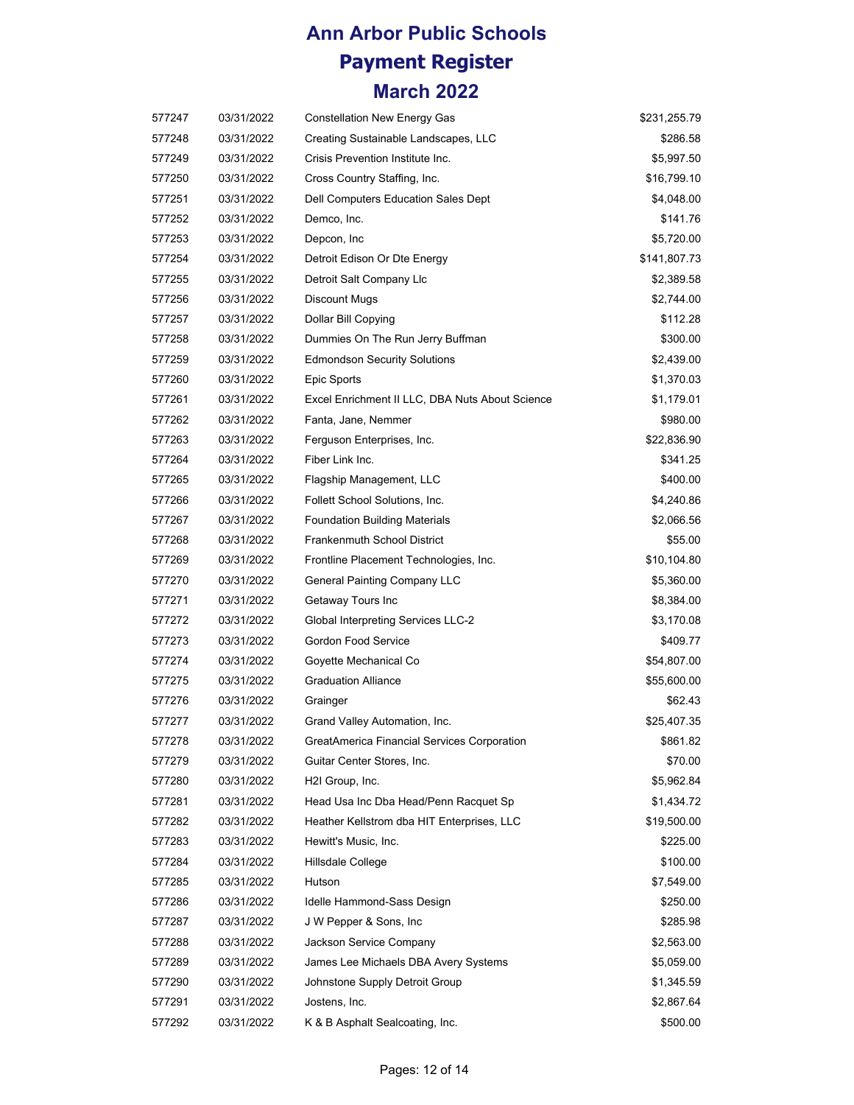| 577247 | 03/31/2022 | <b>Constellation New Energy Gas</b>             | \$231,255.79 |
|--------|------------|-------------------------------------------------|--------------|
| 577248 | 03/31/2022 | Creating Sustainable Landscapes, LLC            | \$286.58     |
| 577249 | 03/31/2022 | Crisis Prevention Institute Inc.                | \$5,997.50   |
| 577250 | 03/31/2022 | Cross Country Staffing, Inc.                    | \$16,799.10  |
| 577251 | 03/31/2022 | Dell Computers Education Sales Dept             | \$4,048.00   |
| 577252 | 03/31/2022 | Demco, Inc.                                     | \$141.76     |
| 577253 | 03/31/2022 | Depcon, Inc.                                    | \$5,720.00   |
| 577254 | 03/31/2022 | Detroit Edison Or Dte Energy                    | \$141,807.73 |
| 577255 | 03/31/2022 | Detroit Salt Company Llc                        | \$2,389.58   |
| 577256 | 03/31/2022 | <b>Discount Mugs</b>                            | \$2,744.00   |
| 577257 | 03/31/2022 | Dollar Bill Copying                             | \$112.28     |
| 577258 | 03/31/2022 | Dummies On The Run Jerry Buffman                | \$300.00     |
| 577259 | 03/31/2022 | <b>Edmondson Security Solutions</b>             | \$2,439.00   |
| 577260 | 03/31/2022 | Epic Sports                                     | \$1,370.03   |
| 577261 | 03/31/2022 | Excel Enrichment II LLC, DBA Nuts About Science | \$1,179.01   |
| 577262 | 03/31/2022 | Fanta, Jane, Nemmer                             | \$980.00     |
| 577263 | 03/31/2022 | Ferguson Enterprises, Inc.                      | \$22,836.90  |
| 577264 | 03/31/2022 | Fiber Link Inc.                                 | \$341.25     |
| 577265 | 03/31/2022 | Flagship Management, LLC                        | \$400.00     |
| 577266 | 03/31/2022 | Follett School Solutions, Inc.                  | \$4,240.86   |
| 577267 | 03/31/2022 | <b>Foundation Building Materials</b>            | \$2,066.56   |
| 577268 | 03/31/2022 | <b>Frankenmuth School District</b>              | \$55.00      |
| 577269 | 03/31/2022 | Frontline Placement Technologies, Inc.          | \$10,104.80  |
| 577270 | 03/31/2022 | General Painting Company LLC                    | \$5,360.00   |
| 577271 | 03/31/2022 | Getaway Tours Inc                               | \$8,384.00   |
| 577272 | 03/31/2022 | Global Interpreting Services LLC-2              | \$3,170.08   |
| 577273 | 03/31/2022 | <b>Gordon Food Service</b>                      | \$409.77     |
| 577274 | 03/31/2022 | Goyette Mechanical Co                           | \$54,807.00  |
| 577275 | 03/31/2022 | <b>Graduation Alliance</b>                      | \$55,600.00  |
| 577276 | 03/31/2022 | Grainger                                        | \$62.43      |
| 577277 | 03/31/2022 | Grand Valley Automation, Inc.                   | \$25,407.35  |
| 577278 | 03/31/2022 | GreatAmerica Financial Services Corporation     | \$861.82     |
| 577279 | 03/31/2022 | Guitar Center Stores, Inc.                      | \$70.00      |
| 577280 | 03/31/2022 | H2I Group, Inc.                                 | \$5,962.84   |
| 577281 | 03/31/2022 | Head Usa Inc Dba Head/Penn Racquet Sp           | \$1,434.72   |
| 577282 | 03/31/2022 | Heather Kellstrom dba HIT Enterprises, LLC      | \$19,500.00  |
| 577283 | 03/31/2022 | Hewitt's Music, Inc.                            | \$225.00     |
| 577284 | 03/31/2022 | Hillsdale College                               | \$100.00     |
| 577285 | 03/31/2022 | Hutson                                          | \$7,549.00   |
| 577286 | 03/31/2022 | Idelle Hammond-Sass Design                      | \$250.00     |
| 577287 | 03/31/2022 | J W Pepper & Sons, Inc.                         | \$285.98     |
| 577288 | 03/31/2022 | Jackson Service Company                         | \$2,563.00   |
| 577289 | 03/31/2022 | James Lee Michaels DBA Avery Systems            | \$5,059.00   |
| 577290 | 03/31/2022 | Johnstone Supply Detroit Group                  | \$1,345.59   |
| 577291 | 03/31/2022 | Jostens, Inc.                                   | \$2,867.64   |
| 577292 | 03/31/2022 | K & B Asphalt Sealcoating, Inc.                 | \$500.00     |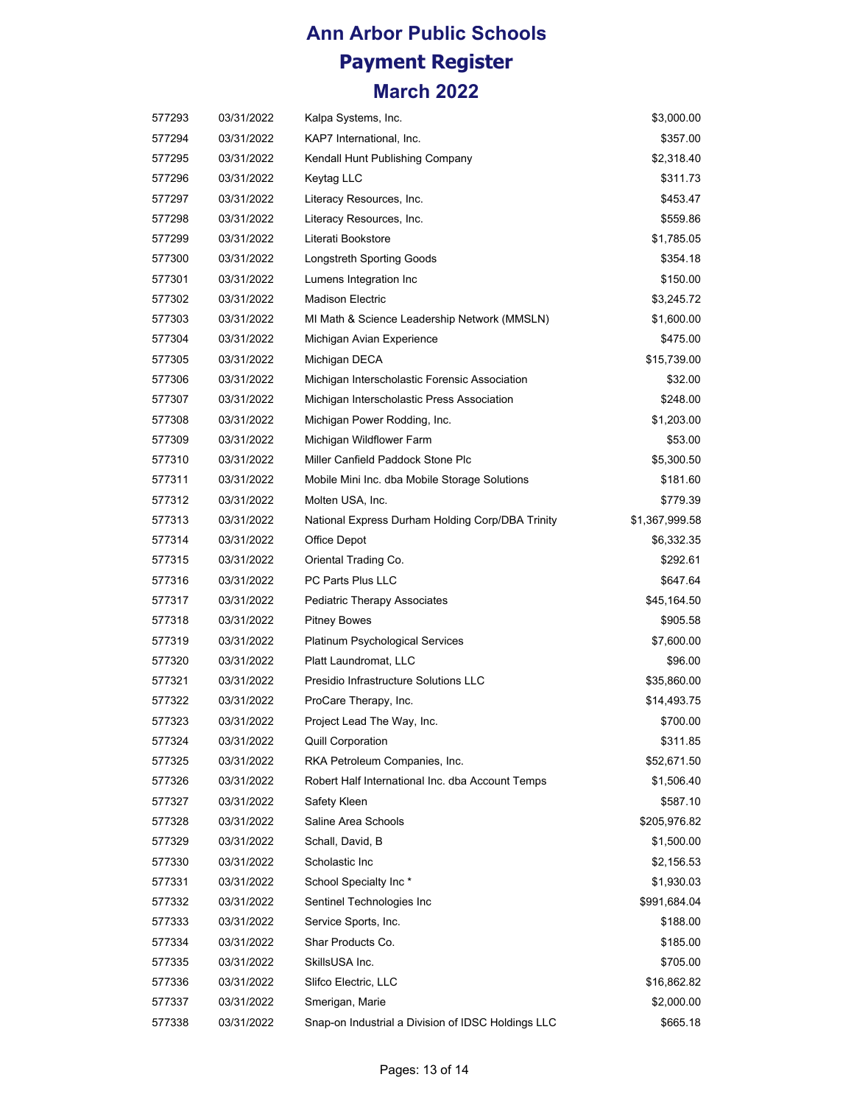| 577293 | 03/31/2022 | Kalpa Systems, Inc.                                | \$3,000.00     |
|--------|------------|----------------------------------------------------|----------------|
| 577294 | 03/31/2022 | KAP7 International, Inc.                           | \$357.00       |
| 577295 | 03/31/2022 | Kendall Hunt Publishing Company                    | \$2,318.40     |
| 577296 | 03/31/2022 | Keytag LLC                                         | \$311.73       |
| 577297 | 03/31/2022 | Literacy Resources, Inc.                           | \$453.47       |
| 577298 | 03/31/2022 | Literacy Resources, Inc.                           | \$559.86       |
| 577299 | 03/31/2022 | Literati Bookstore                                 | \$1,785.05     |
| 577300 | 03/31/2022 | <b>Longstreth Sporting Goods</b>                   | \$354.18       |
| 577301 | 03/31/2022 | Lumens Integration Inc                             | \$150.00       |
| 577302 | 03/31/2022 | <b>Madison Electric</b>                            | \$3,245.72     |
| 577303 | 03/31/2022 | MI Math & Science Leadership Network (MMSLN)       | \$1,600.00     |
| 577304 | 03/31/2022 | Michigan Avian Experience                          | \$475.00       |
| 577305 | 03/31/2022 | Michigan DECA                                      | \$15,739.00    |
| 577306 | 03/31/2022 | Michigan Interscholastic Forensic Association      | \$32.00        |
| 577307 | 03/31/2022 | Michigan Interscholastic Press Association         | \$248.00       |
| 577308 | 03/31/2022 | Michigan Power Rodding, Inc.                       | \$1,203.00     |
| 577309 | 03/31/2022 | Michigan Wildflower Farm                           | \$53.00        |
| 577310 | 03/31/2022 | Miller Canfield Paddock Stone Plc                  | \$5,300.50     |
| 577311 | 03/31/2022 | Mobile Mini Inc. dba Mobile Storage Solutions      | \$181.60       |
| 577312 | 03/31/2022 | Molten USA, Inc.                                   | \$779.39       |
| 577313 | 03/31/2022 | National Express Durham Holding Corp/DBA Trinity   | \$1,367,999.58 |
| 577314 | 03/31/2022 | Office Depot                                       | \$6,332.35     |
| 577315 | 03/31/2022 | Oriental Trading Co.                               | \$292.61       |
| 577316 | 03/31/2022 | PC Parts Plus LLC                                  | \$647.64       |
| 577317 | 03/31/2022 | Pediatric Therapy Associates                       | \$45,164.50    |
| 577318 | 03/31/2022 | <b>Pitney Bowes</b>                                | \$905.58       |
| 577319 | 03/31/2022 | Platinum Psychological Services                    | \$7,600.00     |
| 577320 | 03/31/2022 | Platt Laundromat, LLC                              | \$96.00        |
| 577321 | 03/31/2022 | Presidio Infrastructure Solutions LLC              | \$35,860.00    |
| 577322 | 03/31/2022 | ProCare Therapy, Inc.                              | \$14,493.75    |
| 577323 | 03/31/2022 | Project Lead The Way, Inc.                         | \$700.00       |
| 577324 | 03/31/2022 | <b>Quill Corporation</b>                           | \$311.85       |
| 577325 | 03/31/2022 | RKA Petroleum Companies, Inc.                      | \$52,671.50    |
| 577326 | 03/31/2022 | Robert Half International Inc. dba Account Temps   | \$1,506.40     |
| 577327 | 03/31/2022 | Safety Kleen                                       | \$587.10       |
| 577328 | 03/31/2022 | Saline Area Schools                                | \$205,976.82   |
| 577329 | 03/31/2022 | Schall, David, B                                   | \$1,500.00     |
| 577330 | 03/31/2022 | Scholastic Inc                                     | \$2,156.53     |
| 577331 | 03/31/2022 | School Specialty Inc*                              | \$1,930.03     |
| 577332 | 03/31/2022 | Sentinel Technologies Inc                          | \$991,684.04   |
| 577333 | 03/31/2022 | Service Sports, Inc.                               | \$188.00       |
| 577334 | 03/31/2022 | Shar Products Co.                                  | \$185.00       |
| 577335 | 03/31/2022 | SkillsUSA Inc.                                     | \$705.00       |
| 577336 | 03/31/2022 | Slifco Electric, LLC                               | \$16,862.82    |
| 577337 | 03/31/2022 | Smerigan, Marie                                    | \$2,000.00     |
| 577338 | 03/31/2022 | Snap-on Industrial a Division of IDSC Holdings LLC | \$665.18       |